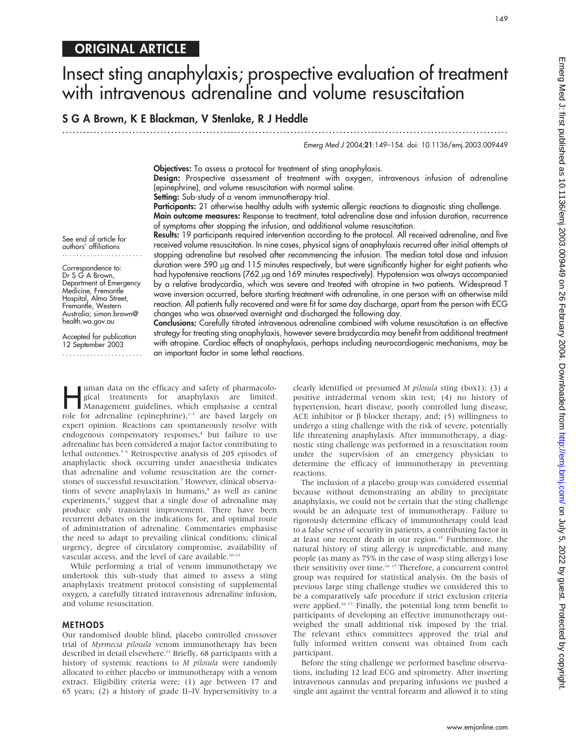# ORIGINAL ARTICLE

# Insect sting anaphylaxis; prospective evaluation of treatment with intravenous adrenaline and volume resuscitation

# S G A Brown, K E Blackman, V Stenlake, R J Heddle

.............................................................................................................................. .

Emerg Med J 2004;21:149–154. doi: 10.1136/emj.2003.009449

149

Objectives: To assess a protocol for treatment of sting anaphylaxis.

Design: Prospective assessment of treatment with oxygen, intravenous infusion of adrenaline (epinephrine), and volume resuscitation with normal saline.

Setting: Sub-study of a venom immunotherapy trial.

Participants: 21 otherwise healthy adults with systemic allergic reactions to diagnostic sting challenge. Main outcome measures: Response to treatment, total adrenaline dose and infusion duration, recurrence of symptoms after stopping the infusion, and additional volume resuscitation.

Results: 19 participants required intervention according to the protocol. All received adrenaline, and five received volume resuscitation. In nine cases, physical signs of anaphylaxis recurred after initial attempts at stopping adrenaline but resolved after recommencing the infusion. The median total dose and infusion duration were 590 µg and 115 minutes respectively, but were significantly higher for eight patients who had hypotensive reactions (762 µg and 169 minutes respectively). Hypotension was always accompanied by a relative bradycardia, which was severe and treated with atropine in two patients. Widespread T wave inversion occurred, before starting treatment with adrenaline, in one person with an otherwise mild reaction. All patients fully recovered and were fit for same day discharge, apart from the person with ECG

See end of article for authors' affiliations .......................

Correspondence to: Dr S G A Brown, Department of Emergency Medicine, Fremantle Hospital, Alma Street, Fremantle, Western Australia; simon.brown@ health.wa.gov.au

Accepted for publication 12 September 2003 .......................

changes who was observed overnight and discharged the following day. Conclusions: Carefully titrated intravenous adrenaline combined with volume resuscitation is an effective strategy for treating sting anaphylaxis, however severe bradycardia may benefit from additional treatment with atropine. Cardiac effects of anaphylaxis, perhaps including neurocardiogenic mechanisms, may be an important factor in some lethal reactions.

uman data on the efficacy and safety of pharmacological treatments for anaphylaxis are limited.<br>
Management guidelines, which emphasise a central<br>
role for advancline (enjoenbrine)  $\frac{1}{2}$  are based largely on gical treatments for anaphylaxis are limited. role for adrenaline (epinephrine), $1-3$  are based largely on expert opinion. Reactions can spontaneously resolve with endogenous compensatory responses,<sup>4</sup> but failure to use adrenaline has been considered a major factor contributing to lethal outcomes.<sup>5 6</sup> Retrospective analysis of 205 episodes of anaphylactic shock occurring under anaesthesia indicates that adrenaline and volume resuscitation are the cornerstones of successful resuscitation.7 However, clinical observations of severe anaphylaxis in humans,<sup>8</sup> as well as canine experiments,<sup>9</sup> suggest that a single dose of adrenaline may produce only transient improvement. There have been recurrent debates on the indications for, and optimal route of administration of adrenaline. Commentaries emphasise the need to adapt to prevailing clinical conditions; clinical urgency, degree of circulatory compromise, availability of vascular access, and the level of care available.<sup>10-12</sup>

While performing a trial of venom immunotherapy we undertook this sub-study that aimed to assess a sting anaphylaxis treatment protocol consisting of supplemental oxygen, a carefully titrated intravenous adrenaline infusion, and volume resuscitation.

### METHODS

Our randomised double blind, placebo controlled crossover trial of Myrmecia pilosula venom immunotherapy has been described in detail elsewhere.<sup>13</sup> Briefly, 68 participants with a history of systemic reactions to M pilosula were randomly allocated to either placebo or immunotherapy with a venom extract. Eligibility criteria were; (1) age between 17 and 65 years; (2) a history of grade II–IV hypersensitivity to a clearly identified or presumed M pilosula sting (box1); (3) a positive intradermal venom skin test; (4) no history of hypertension, heart disease, poorly controlled lung disease, ACE inhibitor or  $\beta$  blocker therapy, and; (5) willingness to undergo a sting challenge with the risk of severe, potentially life threatening anaphylaxis. After immunotherapy, a diagnostic sting challenge was performed in a resuscitation room under the supervision of an emergency physician to determine the efficacy of immunotherapy in preventing reactions.

The inclusion of a placebo group was considered essential because without demonstrating an ability to precipitate anaphylaxis, we could not be certain that the sting challenge would be an adequate test of immunotherapy. Failure to rigorously determine efficacy of immunotherapy could lead to a false sense of security in patients, a contributing factor in at least one recent death in our region.<sup>15</sup> Furthermore, the natural history of sting allergy is unpredictable, and many people (as many as 75% in the case of wasp sting allergy) lose their sensitivity over time.<sup>16 17</sup> Therefore, a concurrent control group was required for statistical analysis. On the basis of previous large sting challenge studies we considered this to be a comparatively safe procedure if strict exclusion criteria were applied.<sup>16 17</sup> Finally, the potential long term benefit to participants of developing an effective immunotherapy outweighed the small additional risk imposed by the trial. The relevant ethics committees approved the trial and fully informed written consent was obtained from each participant.

Before the sting challenge we performed baseline observations, including 12 lead ECG and spirometry. After inserting intravenous cannulas and preparing infusions we pushed a single ant against the ventral forearm and allowed it to sting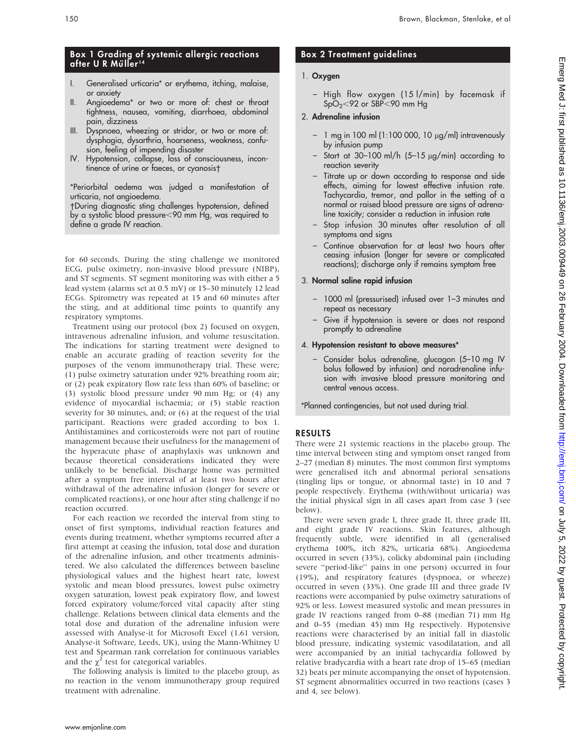## Box 1 Grading of systemic allergic reactions after U R Müller<sup>14</sup>

- I. Generalised urticaria\* or erythema, itching, malaise, or anxiety
- II. Angioedema\* or two or more of: chest or throat tightness, nausea, vomiting, diarrhoea, abdominal pain, dizziness
- III. Dyspnoea, wheezing or stridor, or two or more of: dysphagia, dysarthria, hoarseness, weakness, confusion, feeling of impending disaster
- IV. Hypotension, collapse, loss of consciousness, incontinence ot urine or taeces, or cyanosis†

\*Periorbital oedema was judged a manifestation of urticaria, not angioedema.

-During diagnostic sting challenges hypotension, defined by a systolic blood pressure<90 mm Hg, was required to define a grade IV reaction.

for 60 seconds. During the sting challenge we monitored ECG, pulse oximetry, non-invasive blood pressure (NIBP), and ST segments. ST segment monitoring was with either a 5 lead system (alarms set at 0.5 mV) or 15–30 minutely 12 lead ECGs. Spirometry was repeated at 15 and 60 minutes after the sting, and at additional time points to quantify any respiratory symptoms.

Treatment using our protocol (box 2) focused on oxygen, intravenous adrenaline infusion, and volume resuscitation. The indications for starting treatment were designed to enable an accurate grading of reaction severity for the purposes of the venom immunotherapy trial. These were; (1) pulse oximetry saturation under 92% breathing room air; or (2) peak expiratory flow rate less than 60% of baseline; or (3) systolic blood pressure under 90 mm Hg; or (4) any evidence of myocardial ischaemia; or (5) stable reaction severity for 30 minutes, and; or (6) at the request of the trial participant. Reactions were graded according to box 1. Antihistamines and corticosteroids were not part of routine management because their usefulness for the management of the hyperacute phase of anaphylaxis was unknown and because theoretical considerations indicated they were unlikely to be beneficial. Discharge home was permitted after a symptom free interval of at least two hours after withdrawal of the adrenaline infusion (longer for severe or complicated reactions), or one hour after sting challenge if no reaction occurred.

For each reaction we recorded the interval from sting to onset of first symptoms, individual reaction features and events during treatment, whether symptoms recurred after a first attempt at ceasing the infusion, total dose and duration of the adrenaline infusion, and other treatments administered. We also calculated the differences between baseline physiological values and the highest heart rate, lowest systolic and mean blood pressures, lowest pulse oximetry oxygen saturation, lowest peak expiratory flow, and lowest forced expiratory volume/forced vital capacity after sting challenge. Relations between clinical data elements and the total dose and duration of the adrenaline infusion were assessed with Analyse-it for Microsoft Excel (1.61 version, Analyse-it Software, Leeds, UK), using the Mann-Whitney U test and Spearman rank correlation for continuous variables and the  $\chi^2$  test for categorical variables.

The following analysis is limited to the placebo group, as no reaction in the venom immunotherapy group required treatment with adrenaline.

# Box 2 Treatment guidelines

# 1. Oxygen

– High flow oxygen (15 l/min) by facemask if  $SpO<sub>2</sub>< 92$  or  $SBP<90$  mm Hg

# 2. Adrenaline infusion

- $-1$  mg in 100 ml (1:100 000, 10  $\mu$ g/ml) intravenously by infusion pump
- Start at  $30-100$  ml/h  $(5-15 \mu g/min)$  according to reaction severity
- Titrate up or down according to response and side effects, aiming for lowest effective infusion rate. Tachycardia, tremor, and pallor in the setting of a normal or raised blood pressure are signs of adrenaline toxicity; consider a reduction in infusion rate
- Stop infusion 30 minutes after resolution of all symptoms and signs
- Continue observation for at least two hours after ceasing infusion (longer for severe or complicated reactions); discharge only if remains symptom free

# 3. Normal saline rapid infusion

- 1000 ml (pressurised) infused over 1–3 minutes and repeat as necessary
- Give if hypotension is severe or does not respond promptly to adrenaline

## 4. Hypotension resistant to above measures\*

– Consider bolus adrenaline, glucagon (5–10 mg IV bolus followed by infusion) and noradrenaline infusion with invasive blood pressure monitoring and central venous access.

\*Planned contingencies, but not used during trial.

## RESULTS

There were 21 systemic reactions in the placebo group. The time interval between sting and symptom onset ranged from 2–27 (median 8) minutes. The most common first symptoms were generalised itch and abnormal perioral sensations (tingling lips or tongue, or abnormal taste) in 10 and 7 people respectively. Erythema (with/without urticaria) was the initial physical sign in all cases apart from case 3 (see below).

There were seven grade I, three grade II, three grade III, and eight grade IV reactions. Skin features, although frequently subtle, were identified in all (generalised erythema 100%, itch 82%, urticaria 68%). Angioedema occurred in seven (33%), colicky abdominal pain (including severe ''period-like'' pains in one person) occurred in four (19%), and respiratory features (dyspnoea, or wheeze) occurred in seven (33%). One grade III and three grade IV reactions were accompanied by pulse oximetry saturations of 92% or less. Lowest measured systolic and mean pressures in grade IV reactions ranged from 0–88 (median 71) mm Hg and 0–55 (median 45) mm Hg respectively. Hypotensive reactions were characterised by an initial fall in diastolic blood pressure, indicating systemic vasodilatation, and all were accompanied by an initial tachycardia followed by relative bradycardia with a heart rate drop of 15–65 (median 32) beats per minute accompanying the onset of hypotension. ST segment abnormalities occurred in two reactions (cases 3 and 4, see below).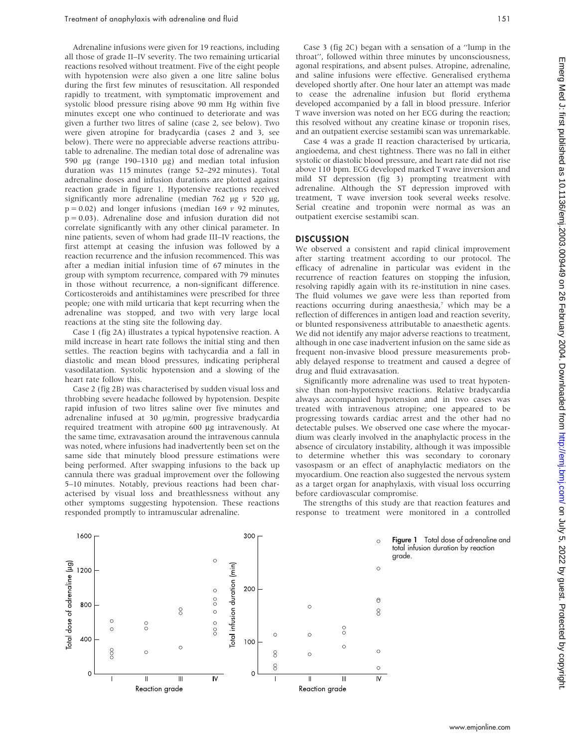Adrenaline infusions were given for 19 reactions, including all those of grade II–IV severity. The two remaining urticarial reactions resolved without treatment. Five of the eight people with hypotension were also given a one litre saline bolus during the first few minutes of resuscitation. All responded rapidly to treatment, with symptomatic improvement and systolic blood pressure rising above 90 mm Hg within five minutes except one who continued to deteriorate and was given a further two litres of saline (case 2, see below). Two were given atropine for bradycardia (cases 2 and 3, see below). There were no appreciable adverse reactions attributable to adrenaline. The median total dose of adrenaline was 590 mg (range 190–1310 mg) and median total infusion duration was 115 minutes (range 52–292 minutes). Total adrenaline doses and infusion durations are plotted against reaction grade in figure 1. Hypotensive reactions received significantly more adrenaline (median 762  $\mu$ g v 520  $\mu$ g,  $p = 0.02$ ) and longer infusions (median 169  $\nu$  92 minutes,  $p = 0.03$ ). Adrenaline dose and infusion duration did not correlate significantly with any other clinical parameter. In nine patients, seven of whom had grade III–IV reactions, the first attempt at ceasing the infusion was followed by a reaction recurrence and the infusion recommenced. This was after a median initial infusion time of 67 minutes in the group with symptom recurrence, compared with 79 minutes in those without recurrence, a non-significant difference. Corticosteroids and antihistamines were prescribed for three people; one with mild urticaria that kept recurring when the adrenaline was stopped, and two with very large local reactions at the sting site the following day.

Case 1 (fig 2A) illustrates a typical hypotensive reaction. A mild increase in heart rate follows the initial sting and then settles. The reaction begins with tachycardia and a fall in diastolic and mean blood pressures, indicating peripheral vasodilatation. Systolic hypotension and a slowing of the heart rate follow this.

Case 2 (fig 2B) was characterised by sudden visual loss and throbbing severe headache followed by hypotension. Despite rapid infusion of two litres saline over five minutes and adrenaline infused at 30 µg/min, progressive bradycardia required treatment with atropine 600 µg intravenously. At the same time, extravasation around the intravenous cannula was noted, where infusions had inadvertently been set on the same side that minutely blood pressure estimations were being performed. After swapping infusions to the back up cannula there was gradual improvement over the following 5–10 minutes. Notably, previous reactions had been characterised by visual loss and breathlessness without any other symptoms suggesting hypotension. These reactions responded promptly to intramuscular adrenaline.

Case 3 (fig 2C) began with a sensation of a ''lump in the throat'', followed within three minutes by unconsciousness, agonal respirations, and absent pulses. Atropine, adrenaline, and saline infusions were effective. Generalised erythema developed shortly after. One hour later an attempt was made to cease the adrenaline infusion but florid erythema developed accompanied by a fall in blood pressure. Inferior T wave inversion was noted on her ECG during the reaction; this resolved without any creatine kinase or troponin rises, and an outpatient exercise sestamibi scan was unremarkable.

Case 4 was a grade II reaction characterised by urticaria, angioedema, and chest tightness. There was no fall in either systolic or diastolic blood pressure, and heart rate did not rise above 110 bpm. ECG developed marked T wave inversion and mild ST depression (fig 3) prompting treatment with adrenaline. Although the ST depression improved with treatment, T wave inversion took several weeks resolve. Serial creatine and troponin were normal as was an outpatient exercise sestamibi scan.

#### **DISCUSSION**

We observed a consistent and rapid clinical improvement after starting treatment according to our protocol. The efficacy of adrenaline in particular was evident in the recurrence of reaction features on stopping the infusion, resolving rapidly again with its re-institution in nine cases. The fluid volumes we gave were less than reported from reactions occurring during anaesthesia,<sup>7</sup> which may be a reflection of differences in antigen load and reaction severity, or blunted responsiveness attributable to anaesthetic agents. We did not identify any major adverse reactions to treatment, although in one case inadvertent infusion on the same side as frequent non-invasive blood pressure measurements probably delayed response to treatment and caused a degree of drug and fluid extravasation.

Significantly more adrenaline was used to treat hypotensive than non-hypotensive reactions. Relative bradycardia always accompanied hypotension and in two cases was treated with intravenous atropine; one appeared to be progressing towards cardiac arrest and the other had no detectable pulses. We observed one case where the myocardium was clearly involved in the anaphylactic process in the absence of circulatory instability, although it was impossible to determine whether this was secondary to coronary vasospasm or an effect of anaphylactic mediators on the myocardium. One reaction also suggested the nervous system as a target organ for anaphylaxis, with visual loss occurring before cardiovascular compromise.

The strengths of this study are that reaction features and response to treatment were monitored in a controlled



Figure 1 Total dose of adrenaline and total infusion duration by reaction grade.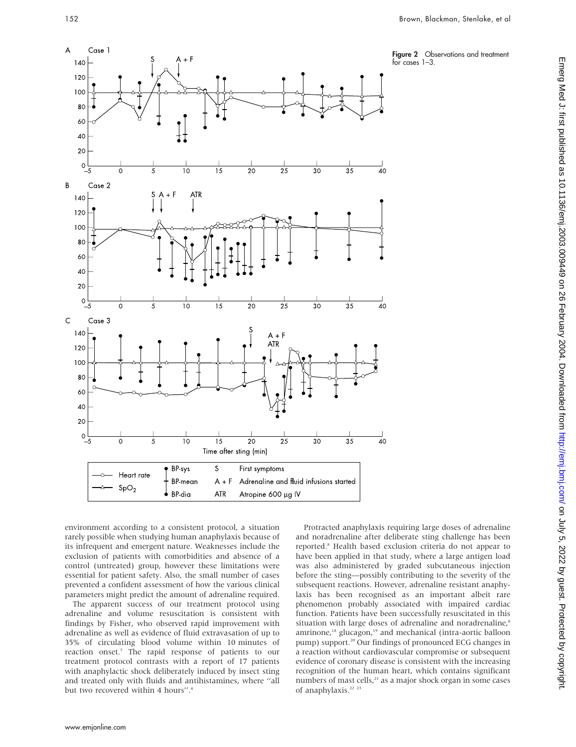



environment according to a consistent protocol, a situation rarely possible when studying human anaphylaxis because of its infrequent and emergent nature. Weaknesses include the exclusion of patients with comorbidities and absence of a control (untreated) group, however these limitations were essential for patient safety. Also, the small number of cases prevented a confident assessment of how the various clinical parameters might predict the amount of adrenaline required. The apparent success of our treatment protocol using

adrenaline and volume resuscitation is consistent with findings by Fisher, who observed rapid improvement with adrenaline as well as evidence of fluid extravasation of up to 35% of circulating blood volume within 10 minutes of reaction onset.7 The rapid response of patients to our treatment protocol contrasts with a report of 17 patients with anaphylactic shock deliberately induced by insect sting and treated only with fluids and antihistamines, where ''all but two recovered within 4 hours".<sup>4</sup>

Protracted anaphylaxis requiring large doses of adrenaline and noradrenaline after deliberate sting challenge has been reported.8 Health based exclusion criteria do not appear to have been applied in that study, where a large antigen load was also administered by graded subcutaneous injection before the sting—possibly contributing to the severity of the subsequent reactions. However, adrenaline resistant anaphylaxis has been recognised as an important albeit rare phenomenon probably associated with impaired cardiac function. Patients have been successfully resuscitated in this situation with large doses of adrenaline and noradrenaline,<sup>8</sup> amrinone,<sup>18</sup> glucagon,<sup>19</sup> and mechanical (intra-aortic balloon pump) support.<sup>20</sup> Our findings of pronounced ECG changes in a reaction without cardiovascular compromise or subsequent evidence of coronary disease is consistent with the increasing recognition of the human heart, which contains significant numbers of mast cells,<sup>21</sup> as a major shock organ in some cases of anaphylaxis.<sup>22</sup> <sup>23</sup>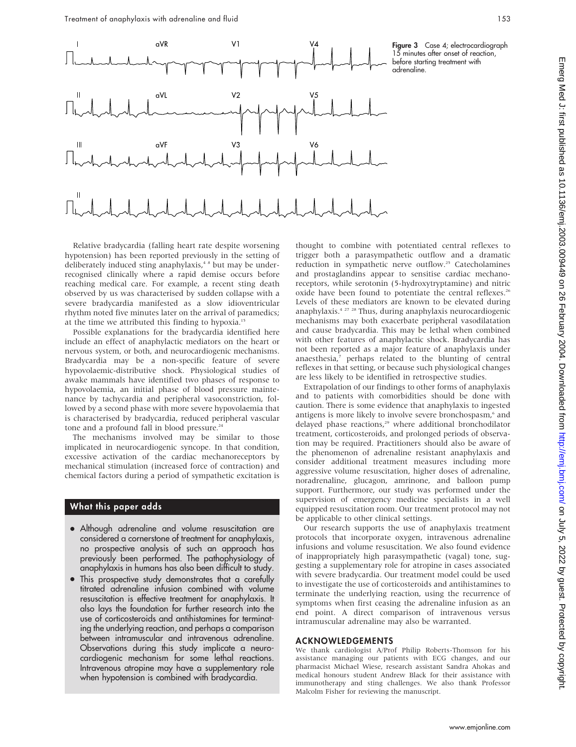

#### **Figure 3** Case 4; electrocardiograph 15 minutes after onset of reaction, before starting treatment with adrenaline.

Relative bradycardia (falling heart rate despite worsening hypotension) has been reported previously in the setting of deliberately induced sting anaphylaxis,<sup>4</sup> <sup>8</sup> but may be underrecognised clinically where a rapid demise occurs before reaching medical care. For example, a recent sting death observed by us was characterised by sudden collapse with a severe bradycardia manifested as a slow idioventricular rhythm noted five minutes later on the arrival of paramedics; at the time we attributed this finding to hypoxia.15

Possible explanations for the bradycardia identified here include an effect of anaphylactic mediators on the heart or nervous system, or both, and neurocardiogenic mechanisms. Bradycardia may be a non-specific feature of severe hypovolaemic-distributive shock. Physiological studies of awake mammals have identified two phases of response to hypovolaemia, an initial phase of blood pressure maintenance by tachycardia and peripheral vasoconstriction, followed by a second phase with more severe hypovolaemia that is characterised by bradycardia, reduced peripheral vascular tone and a profound fall in blood pressure.<sup>24</sup>

The mechanisms involved may be similar to those implicated in neurocardiogenic syncope. In that condition, excessive activation of the cardiac mechanoreceptors by mechanical stimulation (increased force of contraction) and chemical factors during a period of sympathetic excitation is

## What this paper adds

- Although adrenaline and volume resuscitation are considered a cornerstone of treatment for anaphylaxis, no prospective analysis of such an approach has previously been performed. The pathophysiology of anaphylaxis in humans has also been difficult to study.
- This prospective study demonstrates that a carefully titrated adrenaline infusion combined with volume resuscitation is effective treatment for anaphylaxis. It also lays the foundation for further research into the use of corticosteroids and antihistamines for terminating the underlying reaction, and perhaps a comparison between intramuscular and intravenous adrenaline. Observations during this study implicate a neurocardiogenic mechanism for some lethal reactions. Intravenous atropine may have a supplementary role when hypotension is combined with bradycardia.

thought to combine with potentiated central reflexes to trigger both a parasympathetic outflow and a dramatic reduction in sympathetic nerve outflow.<sup>25</sup> Catecholamines and prostaglandins appear to sensitise cardiac mechanoreceptors, while serotonin (5-hydroxytryptamine) and nitric oxide have been found to potentiate the central reflexes.<sup>26</sup> Levels of these mediators are known to be elevated during anaphylaxis.4 27 28 Thus, during anaphylaxis neurocardiogenic mechanisms may both exacerbate peripheral vasodilatation and cause bradycardia. This may be lethal when combined with other features of anaphylactic shock. Bradycardia has not been reported as a major feature of anaphylaxis under anaesthesia,<sup>7</sup> perhaps related to the blunting of central reflexes in that setting, or because such physiological changes are less likely to be identified in retrospective studies.

Extrapolation of our findings to other forms of anaphylaxis and to patients with comorbidities should be done with caution. There is some evidence that anaphylaxis to ingested antigens is more likely to involve severe bronchospasm,<sup>6</sup> and delayed phase reactions,<sup>29</sup> where additional bronchodilator treatment, corticosteroids, and prolonged periods of observation may be required. Practitioners should also be aware of the phenomenon of adrenaline resistant anaphylaxis and consider additional treatment measures including more aggressive volume resuscitation, higher doses of adrenaline, noradrenaline, glucagon, amrinone, and balloon pump support. Furthermore, our study was performed under the supervision of emergency medicine specialists in a well equipped resuscitation room. Our treatment protocol may not be applicable to other clinical settings.

Our research supports the use of anaphylaxis treatment protocols that incorporate oxygen, intravenous adrenaline infusions and volume resuscitation. We also found evidence of inappropriately high parasympathetic (vagal) tone, suggesting a supplementary role for atropine in cases associated with severe bradycardia. Our treatment model could be used to investigate the use of corticosteroids and antihistamines to terminate the underlying reaction, using the recurrence of symptoms when first ceasing the adrenaline infusion as an end point. A direct comparison of intravenous versus intramuscular adrenaline may also be warranted.

#### ACKNOWLEDGEMENTS

We thank cardiologist A/Prof Philip Roberts-Thomson for his assistance managing our patients with ECG changes, and our pharmacist Michael Wiese, research assistant Sandra Ahokas and medical honours student Andrew Black for their assistance with immunotherapy and sting challenges. We also thank Professor Malcolm Fisher for reviewing the manuscript.